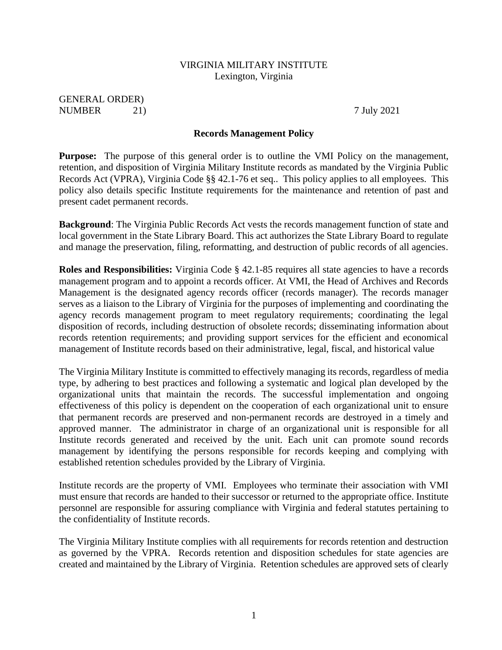#### VIRGINIA MILITARY INSTITUTE Lexington, Virginia

GENERAL ORDER) NUMBER 21) 2021

#### **Records Management Policy**

**Purpose:** The purpose of this general order is to outline the VMI Policy on the management, retention, and disposition of Virginia Military Institute records as mandated by the Virginia Public Records Act (VPRA), Virginia Code §§ 42.1-76 et seq.. This policy applies to all employees. This policy also details specific Institute requirements for the maintenance and retention of past and present cadet permanent records.

**Background**: The Virginia Public Records Act vests the records management function of state and local government in the State Library Board. This act authorizes the State Library Board to regulate and manage the preservation, filing, reformatting, and destruction of public records of all agencies.

**Roles and Responsibilities:** Virginia Code § 42.1-85 requires all state agencies to have a records management program and to appoint a records officer. At VMI, the Head of Archives and Records Management is the designated agency records officer (records manager). The records manager serves as a liaison to the Library of Virginia for the purposes of implementing and coordinating the agency records management program to meet regulatory requirements; coordinating the legal disposition of records, including destruction of obsolete records; disseminating information about records retention requirements; and providing support services for the efficient and economical management of Institute records based on their administrative, legal, fiscal, and historical value

The Virginia Military Institute is committed to effectively managing its records, regardless of media type, by adhering to best practices and following a systematic and logical plan developed by the organizational units that maintain the records. The successful implementation and ongoing effectiveness of this policy is dependent on the cooperation of each organizational unit to ensure that permanent records are preserved and non-permanent records are destroyed in a timely and approved manner. The administrator in charge of an organizational unit is responsible for all Institute records generated and received by the unit. Each unit can promote sound records management by identifying the persons responsible for records keeping and complying with established retention schedules provided by the Library of Virginia.

Institute records are the property of VMI. Employees who terminate their association with VMI must ensure that records are handed to their successor or returned to the appropriate office. Institute personnel are responsible for assuring compliance with Virginia and federal statutes pertaining to the confidentiality of Institute records.

The Virginia Military Institute complies with all requirements for records retention and destruction as governed by the VPRA. Records retention and disposition schedules for state agencies are created and maintained by the Library of Virginia. Retention schedules are approved sets of clearly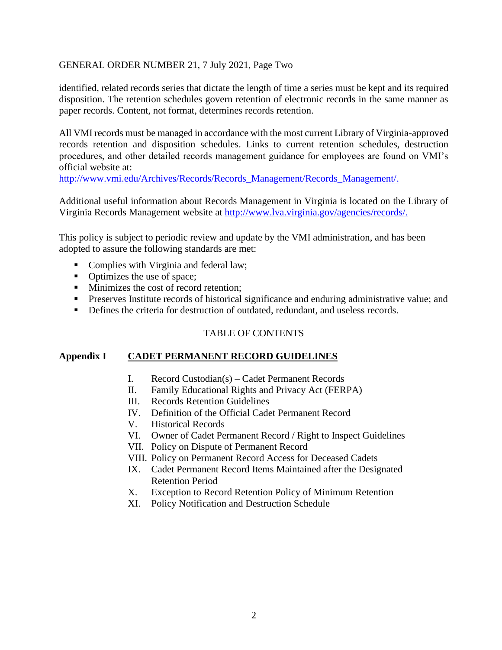### GENERAL ORDER NUMBER 21, 7 July 2021, Page Two

identified, related records series that dictate the length of time a series must be kept and its required disposition. The retention schedules govern retention of electronic records in the same manner as paper records. Content, not format, determines records retention.

All VMI records must be managed in accordance with the most current Library of Virginia-approved records retention and disposition schedules. Links to current retention schedules, destruction procedures, and other detailed records management guidance for employees are found on VMI's official website at:

[http://www.vmi.edu/Archives/Records/Records\\_Management/Records\\_Management/.](http://www.vmi.edu/Archives/Records/Records_Management/Records_Management/)

Additional useful information about Records Management in Virginia is located on the Library of Virginia Records Management website at [http://www.lva.virginia.gov/agencies/records/.](http://www.lva.virginia.gov/agencies/records/)

This policy is subject to periodic review and update by the VMI administration, and has been adopted to assure the following standards are met:

- Complies with Virginia and federal law;
- Optimizes the use of space;
- Minimizes the cost of record retention;
- **•** Preserves Institute records of historical significance and enduring administrative value; and
- **•** Defines the criteria for destruction of outdated, redundant, and useless records.

### TABLE OF CONTENTS

#### **Appendix I CADET PERMANENT RECORD GUIDELINES**

- I. Record Custodian(s) Cadet Permanent Records
- II. Family Educational Rights and Privacy Act (FERPA)
- III. Records Retention Guidelines
- IV. Definition of the Official Cadet Permanent Record
- V. Historical Records
- VI. Owner of Cadet Permanent Record / Right to Inspect Guidelines
- VII. Policy on Dispute of Permanent Record
- VIII. Policy on Permanent Record Access for Deceased Cadets
- IX. Cadet Permanent Record Items Maintained after the Designated Retention Period
- X. Exception to Record Retention Policy of Minimum Retention
- XI. Policy Notification and Destruction Schedule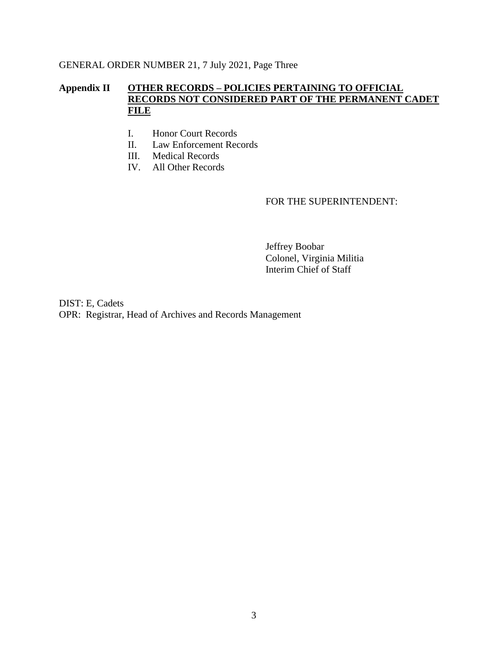### GENERAL ORDER NUMBER 21, 7 July 2021, Page Three

# **Appendix II OTHER RECORDS – POLICIES PERTAINING TO OFFICIAL RECORDS NOT CONSIDERED PART OF THE PERMANENT CADET FILE**

- I. Honor Court Records
- II. Law Enforcement Records
- III. Medical Records
- IV. All Other Records

#### FOR THE SUPERINTENDENT:

Jeffrey Boobar Colonel, Virginia Militia Interim Chief of Staff

DIST: E, Cadets OPR: Registrar, Head of Archives and Records Management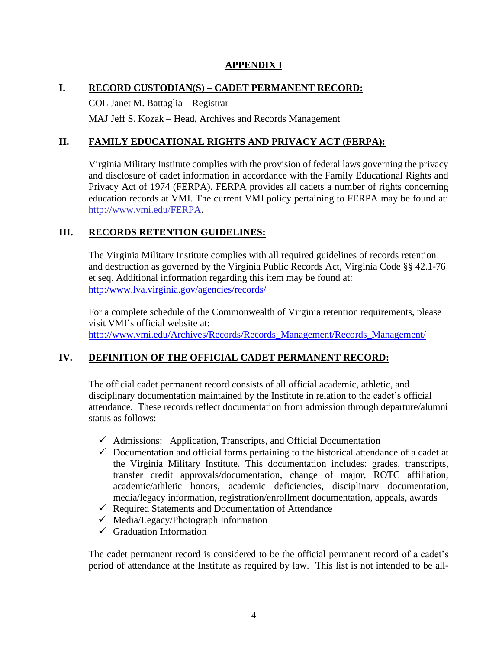### **APPENDIX I**

# **I. RECORD CUSTODIAN(S) – CADET PERMANENT RECORD:**

COL Janet M. Battaglia – Registrar

MAJ Jeff S. Kozak – Head, Archives and Records Management

# **II. FAMILY EDUCATIONAL RIGHTS AND PRIVACY ACT (FERPA):**

Virginia Military Institute complies with the provision of federal laws governing the privacy and disclosure of cadet information in accordance with the Family Educational Rights and Privacy Act of 1974 (FERPA). FERPA provides all cadets a number of rights concerning education records at VMI. The current VMI policy pertaining to FERPA may be found at: [http://www.vmi.edu/FERPA.](http://www.vmi.edu/FERPA)

# **III. RECORDS RETENTION GUIDELINES:**

The Virginia Military Institute complies with all required guidelines of records retention and destruction as governed by the Virginia [Public Records Act,](http://www.lva.lib.va.us/whatwedo/records/vpra.htm) Virginia Code §§ 42.1-76 et seq. Additional information regarding this item may be found at: [http:/www.lva.virginia.gov/agencies/records/](http://www.lva.virginia.gov/agencies/records/)

For a complete schedule of the Commonwealth of Virginia retention requirements, please visit VMI's official website at: [http://www.vmi.edu/Archives/Records/Records\\_Management/Records\\_Management/](http://www.vmi.edu/Archives/Records/Records_Management/Records_Management/)

# **IV. DEFINITION OF THE OFFICIAL CADET PERMANENT RECORD:**

The official cadet permanent record consists of all official academic, athletic, and disciplinary documentation maintained by the Institute in relation to the cadet's official attendance. These records reflect documentation from admission through departure/alumni status as follows:

- $\checkmark$  Admissions: Application, Transcripts, and Official Documentation
- $\checkmark$  Documentation and official forms pertaining to the historical attendance of a cadet at the Virginia Military Institute. This documentation includes: grades, transcripts, transfer credit approvals/documentation, change of major, ROTC affiliation, academic/athletic honors, academic deficiencies, disciplinary documentation, media/legacy information, registration/enrollment documentation, appeals, awards
- $\checkmark$  Required Statements and Documentation of Attendance
- $\checkmark$  Media/Legacy/Photograph Information
- $\checkmark$  Graduation Information

The cadet permanent record is considered to be the official permanent record of a cadet's period of attendance at the Institute as required by law. This list is not intended to be all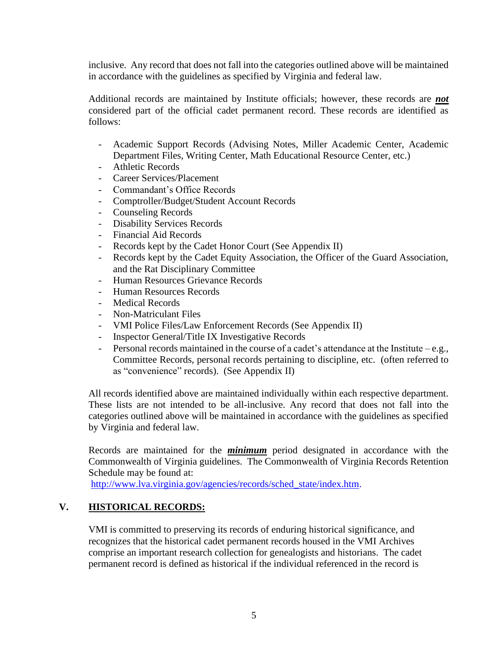inclusive. Any record that does not fall into the categories outlined above will be maintained in accordance with the guidelines as specified by Virginia and federal law.

Additional records are maintained by Institute officials; however, these records are *not* considered part of the official cadet permanent record. These records are identified as follows:

- Academic Support Records (Advising Notes, Miller Academic Center, Academic Department Files, Writing Center, Math Educational Resource Center, etc.)
- Athletic Records
- Career Services/Placement
- Commandant's Office Records
- Comptroller/Budget/Student Account Records
- Counseling Records
- Disability Services Records
- Financial Aid Records
- Records kept by the Cadet Honor Court (See Appendix II)
- Records kept by the Cadet Equity Association, the Officer of the Guard Association, and the Rat Disciplinary Committee
- Human Resources Grievance Records
- Human Resources Records
- Medical Records
- Non-Matriculant Files
- VMI Police Files/Law Enforcement Records (See Appendix II)
- Inspector General/Title IX Investigative Records
- Personal records maintained in the course of a cadet's attendance at the Institute e.g.*,* Committee Records, personal records pertaining to discipline, etc. (often referred to as "convenience" records). (See Appendix II)

All records identified above are maintained individually within each respective department. These lists are not intended to be all-inclusive. Any record that does not fall into the categories outlined above will be maintained in accordance with the guidelines as specified by Virginia and federal law.

Records are maintained for the *minimum* period designated in accordance with the Commonwealth of Virginia guidelines. The Commonwealth of Virginia Records Retention Schedule may be found at:

[http://www.lva.virginia.gov/agencies/records/sched\\_state/index.htm.](http://www.lva.virginia.gov/agencies/records/sched_state/index.htm)

### **V. HISTORICAL RECORDS:**

VMI is committed to preserving its records of enduring historical significance, and recognizes that the historical cadet permanent records housed in the VMI Archives comprise an important research collection for genealogists and historians. The cadet permanent record is defined as historical if the individual referenced in the record is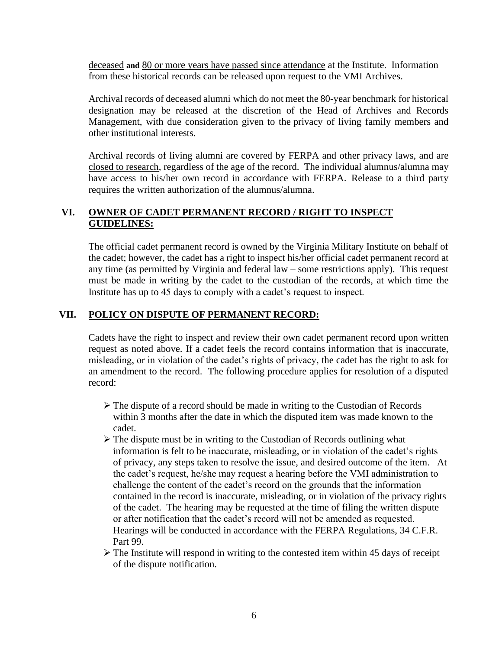deceased **and** 80 or more years have passed since attendance at the Institute. Information from these historical records can be released upon request to the VMI Archives.

Archival records of deceased alumni which do not meet the 80-year benchmark for historical designation may be released at the discretion of the Head of Archives and Records Management, with due consideration given to the privacy of living family members and other institutional interests.

Archival records of living alumni are covered by FERPA and other privacy laws, and are closed to research, regardless of the age of the record. The individual alumnus/alumna may have access to his/her own record in accordance with FERPA. Release to a third party requires the written authorization of the alumnus/alumna.

# **VI. OWNER OF CADET PERMANENT RECORD / RIGHT TO INSPECT GUIDELINES:**

The official cadet permanent record is owned by the Virginia Military Institute on behalf of the cadet; however, the cadet has a right to inspect his/her official cadet permanent record at any time (as permitted by Virginia and federal law – some restrictions apply). This request must be made in writing by the cadet to the custodian of the records, at which time the Institute has up to 45 days to comply with a cadet's request to inspect.

### **VII. POLICY ON DISPUTE OF PERMANENT RECORD:**

Cadets have the right to inspect and review their own cadet permanent record upon written request as noted above. If a cadet feels the record contains information that is inaccurate, misleading, or in violation of the cadet's rights of privacy, the cadet has the right to ask for an amendment to the record. The following procedure applies for resolution of a disputed record:

- ➢ The dispute of a record should be made in writing to the Custodian of Records within 3 months after the date in which the disputed item was made known to the cadet.
- ➢ The dispute must be in writing to the Custodian of Records outlining what information is felt to be inaccurate, misleading, or in violation of the cadet's rights of privacy, any steps taken to resolve the issue, and desired outcome of the item. At the cadet's request, he/she may request a hearing before the VMI administration to challenge the content of the cadet's record on the grounds that the information contained in the record is inaccurate, misleading, or in violation of the privacy rights of the cadet. The hearing may be requested at the time of filing the written dispute or after notification that the cadet's record will not be amended as requested. Hearings will be conducted in accordance with the FERPA Regulations, 34 C.F.R. Part 99.
- $\triangleright$  The Institute will respond in writing to the contested item within 45 days of receipt of the dispute notification.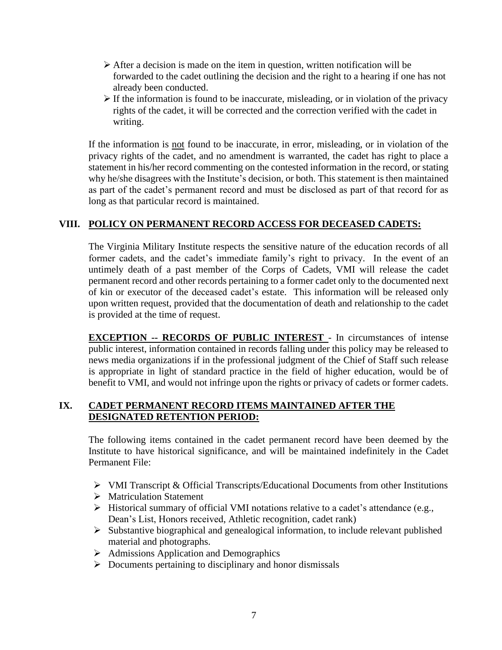- $\triangleright$  After a decision is made on the item in question, written notification will be forwarded to the cadet outlining the decision and the right to a hearing if one has not already been conducted.
- ➢ If the information is found to be inaccurate, misleading, or in violation of the privacy rights of the cadet, it will be corrected and the correction verified with the cadet in writing.

If the information is not found to be inaccurate, in error, misleading, or in violation of the privacy rights of the cadet, and no amendment is warranted, the cadet has right to place a statement in his/her record commenting on the contested information in the record, or stating why he/she disagrees with the Institute's decision, or both. This statement is then maintained as part of the cadet's permanent record and must be disclosed as part of that record for as long as that particular record is maintained.

# **VIII. POLICY ON PERMANENT RECORD ACCESS FOR DECEASED CADETS:**

The Virginia Military Institute respects the sensitive nature of the education records of all former cadets, and the cadet's immediate family's right to privacy. In the event of an untimely death of a past member of the Corps of Cadets, VMI will release the cadet permanent record and other records pertaining to a former cadet only to the documented next of kin or executor of the deceased cadet's estate. This information will be released only upon written request, provided that the documentation of death and relationship to the cadet is provided at the time of request.

**EXCEPTION -- RECORDS OF PUBLIC INTEREST** - In circumstances of intense public interest, information contained in records falling under this policy may be released to news media organizations if in the professional judgment of the Chief of Staff such release is appropriate in light of standard practice in the field of higher education, would be of benefit to VMI, and would not infringe upon the rights or privacy of cadets or former cadets.

### **IX. CADET PERMANENT RECORD ITEMS MAINTAINED AFTER THE DESIGNATED RETENTION PERIOD:**

The following items contained in the cadet permanent record have been deemed by the Institute to have historical significance, and will be maintained indefinitely in the Cadet Permanent File:

- ➢ VMI Transcript & Official Transcripts/Educational Documents from other Institutions
- ➢ Matriculation Statement
- ➢ Historical summary of official VMI notations relative to a cadet's attendance (e.g., Dean's List, Honors received, Athletic recognition, cadet rank)
- ➢ Substantive biographical and genealogical information, to include relevant published material and photographs.
- ➢ Admissions Application and Demographics
- ➢ Documents pertaining to disciplinary and honor dismissals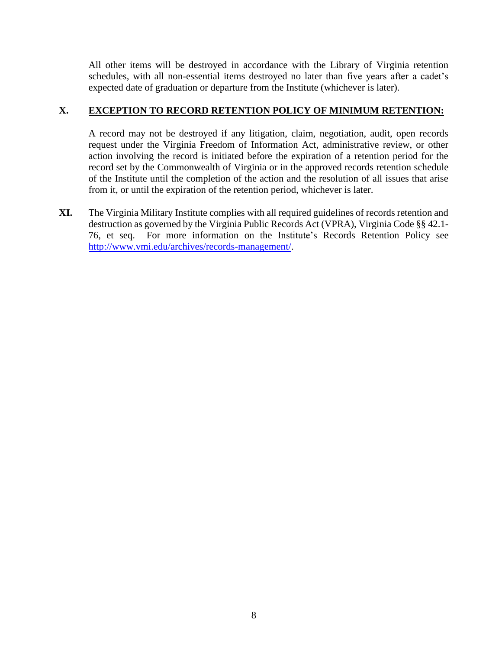All other items will be destroyed in accordance with the Library of Virginia retention schedules, with all non-essential items destroyed no later than five years after a cadet's expected date of graduation or departure from the Institute (whichever is later).

### **X. EXCEPTION TO RECORD RETENTION POLICY OF MINIMUM RETENTION:**

A record may not be destroyed if any litigation, claim, negotiation, audit, open records request under the Virginia Freedom of Information Act, administrative review, or other action involving the record is initiated before the expiration of a retention period for the record set by the Commonwealth of Virginia or in the approved records retention schedule of the Institute until the completion of the action and the resolution of all issues that arise from it, or until the expiration of the retention period, whichever is later.

**XI.** The Virginia Military Institute complies with all required guidelines of records retention and destruction as governed by the Virginia Public Records Act (VPRA), Virginia Code §§ 42.1- 76, et seq. For more information on the Institute's Records Retention Policy see [http://www.vmi.edu/archives/records-management/.](http://www.vmi.edu/archives/records-management/)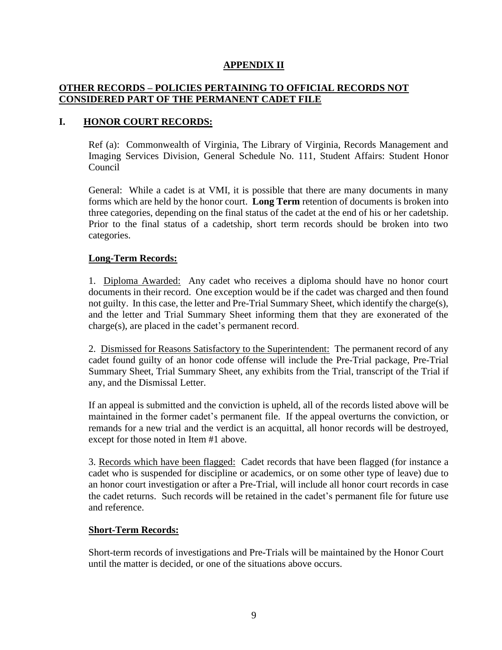### **APPENDIX II**

### **OTHER RECORDS – POLICIES PERTAINING TO OFFICIAL RECORDS NOT CONSIDERED PART OF THE PERMANENT CADET FILE**

### **I. HONOR COURT RECORDS:**

Ref (a): Commonwealth of Virginia, The Library of Virginia, Records Management and Imaging Services Division, General Schedule No. 111, Student Affairs: Student Honor Council

General: While a cadet is at VMI, it is possible that there are many documents in many forms which are held by the honor court. **Long Term** retention of documents is broken into three categories, depending on the final status of the cadet at the end of his or her cadetship. Prior to the final status of a cadetship, short term records should be broken into two categories.

### **Long-Term Records:**

1. Diploma Awarded: Any cadet who receives a diploma should have no honor court documents in their record. One exception would be if the cadet was charged and then found not guilty. In this case, the letter and Pre-Trial Summary Sheet, which identify the charge(s), and the letter and Trial Summary Sheet informing them that they are exonerated of the charge(s), are placed in the cadet's permanent record.

2. Dismissed for Reasons Satisfactory to the Superintendent: The permanent record of any cadet found guilty of an honor code offense will include the Pre-Trial package, Pre-Trial Summary Sheet, Trial Summary Sheet, any exhibits from the Trial, transcript of the Trial if any, and the Dismissal Letter.

If an appeal is submitted and the conviction is upheld, all of the records listed above will be maintained in the former cadet's permanent file. If the appeal overturns the conviction, or remands for a new trial and the verdict is an acquittal, all honor records will be destroyed, except for those noted in Item #1 above.

3. Records which have been flagged: Cadet records that have been flagged (for instance a cadet who is suspended for discipline or academics, or on some other type of leave) due to an honor court investigation or after a Pre-Trial, will include all honor court records in case the cadet returns. Such records will be retained in the cadet's permanent file for future use and reference.

#### **Short-Term Records:**

Short-term records of investigations and Pre-Trials will be maintained by the Honor Court until the matter is decided, or one of the situations above occurs.